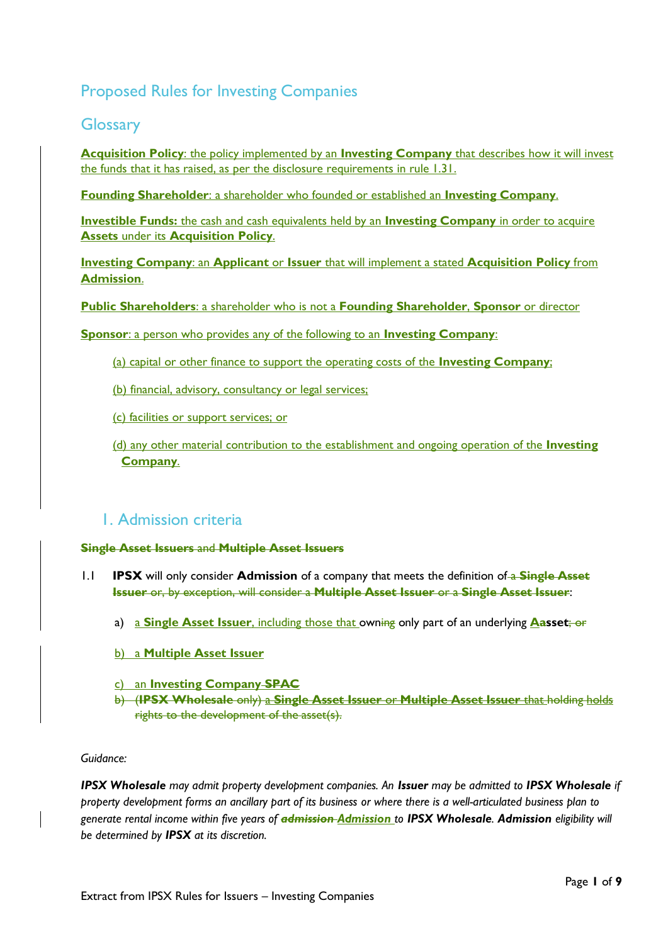# Proposed Rules for Investing Companies

## **Glossary**

**Acquisition Policy**: the policy implemented by an **Investing Company** that describes how it will invest the funds that it has raised, as per the disclosure requirements in rule 1.31.

**Founding Shareholder**: a shareholder who founded or established an **Investing Company**.

**Investible Funds:** the cash and cash equivalents held by an **Investing Company** in order to acquire **Assets** under its **Acquisition Policy**.

**Investing Company**: an **Applicant** or **Issuer** that will implement a stated **Acquisition Policy** from **Admission**.

**Public Shareholders**: a shareholder who is not a **Founding Shareholder**, **Sponsor** or director

**Sponsor**: a person who provides any of the following to an **Investing Company**:

- (a) capital or other finance to support the operating costs of the **[Investing Company](https://www.handbook.fca.org.uk/handbook/glossary/G4581s.html)**;
- (b) financial, advisory, consultancy or legal services;

(c) facilities or support services; or

(d) any other material contribution to the establishment and ongoing operation of the **[Investing](https://www.handbook.fca.org.uk/handbook/glossary/G4581s.html)  [Company](https://www.handbook.fca.org.uk/handbook/glossary/G4581s.html)**.

## 1. Admission criteria

### **Single Asset Issuers** and **Multiple Asset Issuers**

- 1.1 **IPSX** will only consider **Admission** of a company that meets the definition of a **Single Asset Issuer** or, by exception, will consider a **Multiple Asset Issuer** or a **Single Asset Issuer**:
	- a) a **Single Asset Issuer**, including those that owning only part of an underlying **Aasset**; or
	- b) a **Multiple Asset Issuer**
	- c) an **Investing Company SPAC**
	- b) (**IPSX Wholesale** only) a **Single Asset Issuer** or **Multiple Asset Issuer** that holding holds rights to the development of the asset(s).

### *Guidance:*

*IPSX Wholesale may admit property development companies. An Issuer may be admitted to IPSX Wholesale if property development forms an ancillary part of its business or where there is a well-articulated business plan to generate rental income within five years of admission Admission to IPSX Wholesale. Admission eligibility will be determined by IPSX at its discretion.*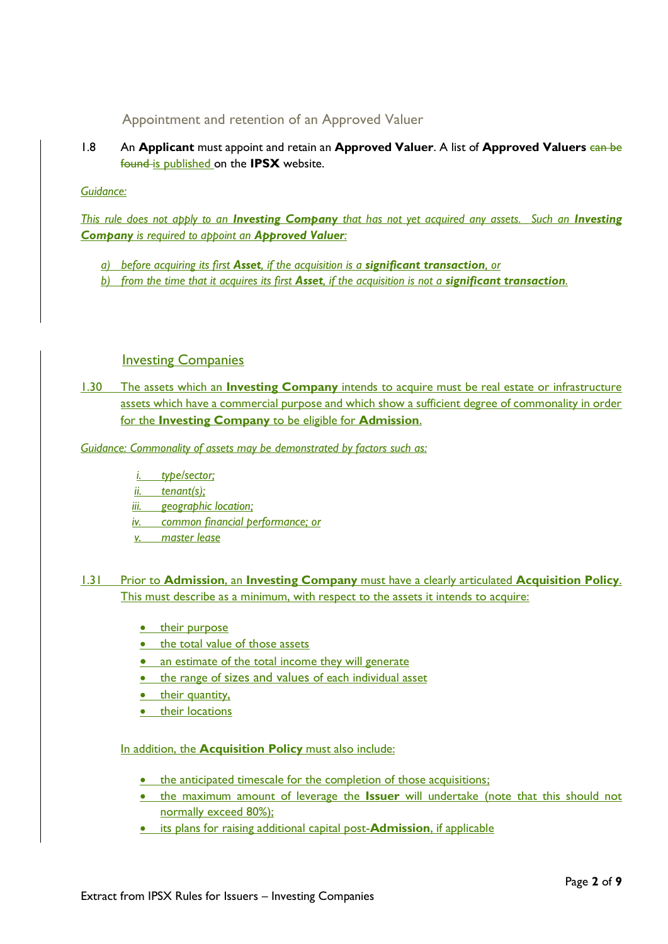Appointment and retention of an Approved Valuer

1.8 An **Applicant** must appoint and retain an **Approved Valuer**. A list of **Approved Valuers**  $\frac{c}{\tan \theta}$ found is published on the **IPSX** website.

*Guidance:* 

*This rule does not apply to an Investing Company that has not yet acquired any assets. Such an Investing Company is required to appoint an Approved Valuer:*

- *a) before acquiring its first Asset, if the acquisition is a significant transaction, or*
- *b) from the time that it acquires its first Asset, if the acquisition is not a significant transaction.*

## **Investing Companies**

1.30 The assets which an **Investing Company** intends to acquire must be real estate or infrastructure assets which have a commercial purpose and which show a sufficient degree of commonality in order for the **Investing Company** to be eligible for **Admission**.

*Guidance: Commonality of assets may be demonstrated by factors such as:*

- *i. type/sector;*
- *ii. tenant(s);*
- *iii. geographic location;*
- *iv. common financial performance; or*
- *v. master lease*

1.31 Prior to **Admission**, an **Investing Company** must have a clearly articulated **Acquisition Policy**. This must describe as a minimum, with respect to the assets it intends to acquire:

- their purpose
- the total value of those assets
- an estimate of the total income they will generate
- the range of sizes and values of each individual asset
- their quantity,
- their locations

### In addition, the **Acquisition Policy** must also include:

- the anticipated timescale for the completion of those acquisitions:
- the maximum amount of leverage the **Issuer** will undertake (note that this should not normally exceed 80%);
- its plans for raising additional capital post-**Admission**, if applicable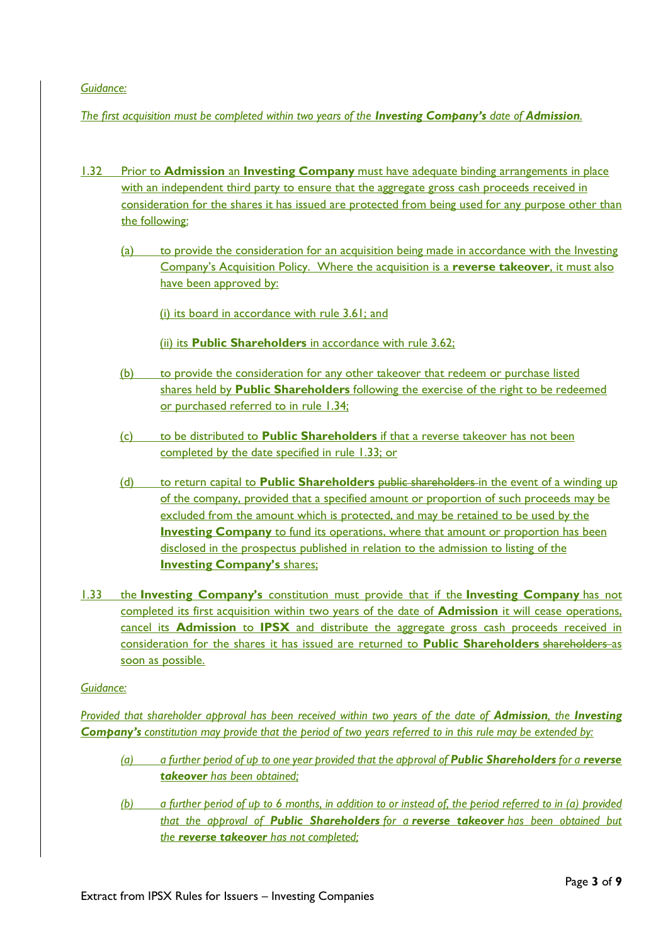### *Guidance:*

*The first acquisition must be completed within two years of the Investing Company's date of Admission.*

- 1.32 Prior to **Admission** an **Investing Company** must have adequate binding arrangements in place with an independent third party to ensure that the aggregate gross cash proceeds received in consideration for the shares it has issued are protected from being used for any purpose other than the following:
	- (a) to provide the consideration for an acquisition being made in accordance with the Investing Company's Acquisition Policy. Where the acquisition is a **[reverse takeover](https://www.handbook.fca.org.uk/handbook/glossary/G1823.html)**, it must also have been approved by:
		- (i) its board in accordance with rule 3.61; and
		- (ii) its **Public [Shareholders](https://www.handbook.fca.org.uk/handbook/glossary/G3551p.html)** in accordance with rule 3.62;
	- (b) to provide the consideration for any other takeover that redeem or purchase [listed](https://www.handbook.fca.org.uk/handbook/glossary/G658.html) [shares](https://www.handbook.fca.org.uk/handbook/glossary/G1078.html) held by **Public [Shareholders](https://www.handbook.fca.org.uk/handbook/glossary/G3551p.html)** following the exercise of the right to be redeemed or purchased referred to in rule 1.34;
	- (c) to be distributed to **Public [Shareholders](https://www.handbook.fca.org.uk/handbook/glossary/G3551p.html)** if that a [reverse takeover](https://www.handbook.fca.org.uk/handbook/glossary/G1823.html) has not been completed by the date specified in rule 1.33; or
	- (d) to return capital to **Public [Shareholders](https://www.handbook.fca.org.uk/handbook/glossary/G3551p.html)** public shareholders in the event of a winding up of the [company,](https://www.handbook.fca.org.uk/handbook/glossary/G190.html) provided that a specified amount or proportion of such proceeds may be excluded from the amount which is protected, and may be retained to be used by the **Investing Company** to fund its operations, where that amount or proportion has been disclosed in the [prospectus](https://www.handbook.fca.org.uk/handbook/glossary/G924.html) published in relation to the [admission](https://www.handbook.fca.org.uk/handbook/glossary/G1728.html) to [listing](https://www.handbook.fca.org.uk/handbook/glossary/G661.html) of the **Investing Company's [shares;](https://www.handbook.fca.org.uk/handbook/glossary/G1078.html)**
- 1.33 the **[Investing Company's](https://www.handbook.fca.org.uk/handbook/glossary/G4581s.html)** [constitution](https://www.handbook.fca.org.uk/handbook/glossary/G1757.html) must provide that if the **[Investing Company](https://www.handbook.fca.org.uk/handbook/glossary/G4581s.html)** has not completed its first acquisition within two years of the date of **Admission** it will cease operations, cancel its **Admission** to **IPSX** and distribute the aggregate gross cash proceeds received in consideration for the shares it has issued are returned to **Public [Shareholders](https://www.handbook.fca.org.uk/handbook/glossary/G3551p.html)** shareholders as soon as possible.

### *Guidance:*

*Provided that shareholder approval has been received within two years of the date of Admission, the Investing [Company's](https://www.handbook.fca.org.uk/handbook/glossary/G4581s.html) [constitution](https://www.handbook.fca.org.uk/handbook/glossary/G1757.html) may provide that the period of two years referred to in this rule may be extended by:* 

- *(a) a further period of up to one year provided that the approval of Public [Shareholders](https://www.handbook.fca.org.uk/handbook/glossary/G3551p.html) for a [reverse](https://www.handbook.fca.org.uk/handbook/glossary/G1823.html)  [takeover](https://www.handbook.fca.org.uk/handbook/glossary/G1823.html) has been obtained;*
- *(b) a further period of up to 6 months, in addition to or instead of, the period referred to in (a) provided that the approval of Public [Shareholders](https://www.handbook.fca.org.uk/handbook/glossary/G3551p.html) for a [reverse takeover](https://www.handbook.fca.org.uk/handbook/glossary/G1823.html) has been obtained but the [reverse takeover](https://www.handbook.fca.org.uk/handbook/glossary/G1823.html) has not completed;*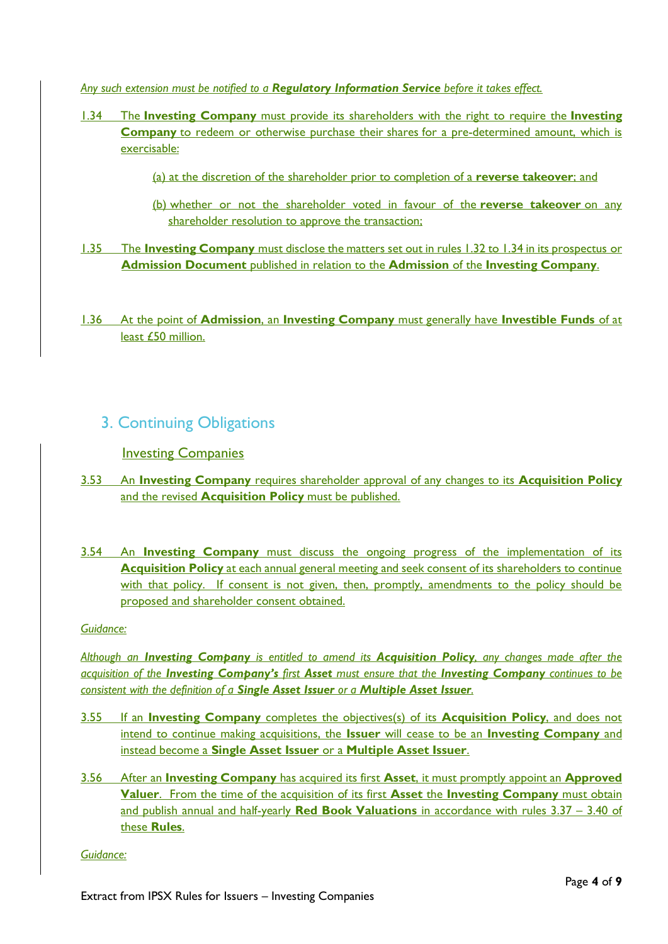*Any such extension must be notified to a Regulatory Information Service before it takes effect.*

- 1.34 The **Investing Company** must provide its shareholders with the right to require the **[Investing](https://www.handbook.fca.org.uk/handbook/glossary/G4581s.html)  [Company](https://www.handbook.fca.org.uk/handbook/glossary/G4581s.html)** to redeem or otherwise purchase their [shares](https://www.handbook.fca.org.uk/handbook/glossary/G1078.html) for a pre-determined amount, which is exercisable:
	- (a) at the discretion of the shareholder prior to completion of a **[reverse takeover](https://www.handbook.fca.org.uk/handbook/glossary/G1823.html)**; and
	- (b) whether or not the shareholder voted in favour of the **[reverse takeover](https://www.handbook.fca.org.uk/handbook/glossary/G1823.html)** on any shareholder resolution to approve the transaction;
- 1.35 The **[Investing Company](https://www.handbook.fca.org.uk/handbook/glossary/G4581s.html)** must disclose the matters set out in rules 1.32 to 1.34 in it[s prospectus](https://www.handbook.fca.org.uk/handbook/glossary/G924.html) or **Admission Document** published in relation to the **Admission** of the **[Investing Company](https://www.handbook.fca.org.uk/handbook/glossary/G4581s.html)**.
- 1.36 At the point of **Admission**, an **Investing Company** must generally have **Investible Funds** of at least £50 million.

## 3. Continuing Obligations

## Investing Companies

- 3.53 An **Investing Company** requires shareholder approval of any changes to its **Acquisition Policy** and the revised **Acquisition Policy** must be published.
- 3.54 An **Investing Company** must discuss the ongoing progress of the implementation of its **Acquisition Policy** at each annual general meeting and seek consent of its shareholders to continue with that policy. If consent is not given, then, promptly, amendments to the policy should be proposed and shareholder consent obtained.

### *Guidance:*

*Although an Investing Company is entitled to amend its Acquisition Policy, any changes made after the acquisition of the Investing Company's first Asset must ensure that the Investing Company continues to be consistent with the definition of a Single Asset Issuer or a Multiple Asset Issuer.* 

- 3.55 If an **Investing Company** completes the objectives(s) of its **Acquisition Policy**, and does not intend to continue making acquisitions, the **Issuer** will cease to be an **Investing Company** and instead become a **Single Asset Issuer** or a **Multiple Asset Issuer**.
- 3.56 After an **Investing Company** has acquired its first **Asset**, it must promptly appoint an **Approved Valuer**. From the time of the acquisition of its first **Asset** the **Investing Company** must obtain and publish annual and half-yearly **Red Book Valuations** in accordance with rules 3.37 – 3.40 of these **Rules**.

### *Guidance:*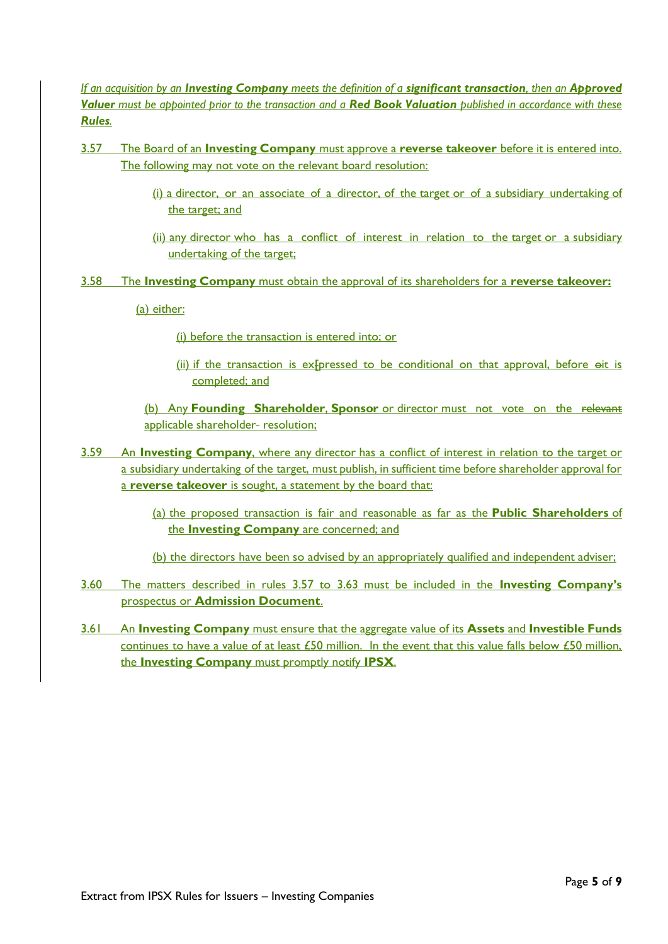*If an acquisition by an Investing Company meets the definition of a significant transaction, then an Approved Valuer must be appointed prior to the transaction and a Red Book Valuation published in accordance with these Rules.* 

- 3.57 The Board of an **Investing Company** must approve a **[reverse takeover](https://www.handbook.fca.org.uk/handbook/glossary/G1823.html)** before it is entered into. The following may not vote on the relevant board resolution:
	- (i) a [director,](https://www.handbook.fca.org.uk/handbook/glossary/G296.html) or an associate of a director, of the [target](https://www.handbook.fca.org.uk/handbook/glossary/G1843.html) or of a [subsidiary undertaking](https://www.handbook.fca.org.uk/handbook/glossary/G1144.html) of the [target;](https://www.handbook.fca.org.uk/handbook/glossary/G1843.html) and
	- (ii) any [director](https://www.handbook.fca.org.uk/handbook/glossary/G296.html) who has a conflict of interest in relation to the [target](https://www.handbook.fca.org.uk/handbook/glossary/G1843.html) or a subsidiary [undertaking](https://www.handbook.fca.org.uk/handbook/glossary/G1144.html) of the [target;](https://www.handbook.fca.org.uk/handbook/glossary/G1843.html)
- 3.58 The **Investing Company** must obtain the approval of its shareholders for a **[reverse takeover:](https://www.handbook.fca.org.uk/handbook/glossary/G1823.html)**

(a) either:

(i) before the [transaction](https://www.handbook.fca.org.uk/handbook/glossary/G1843.html) is entered into; or

(ii) if the transaction is ex $F$ pressed to be conditional on that approval, before  $\Theta$ it is completed; and

(b) Any **[Founding Shareholder](https://www.handbook.fca.org.uk/handbook/glossary/G3541f.html)**, **[Sponsor](https://www.handbook.fca.org.uk/handbook/glossary/G1838.html)** or [director](https://www.handbook.fca.org.uk/handbook/glossary/G296.html) must not vote on the relevant applicable shareholder- resolution;

- 3.59 An **Investing Company**, where any [director](https://www.handbook.fca.org.uk/handbook/glossary/G296.html) has a conflict of interest in relation to the [target](https://www.handbook.fca.org.uk/handbook/glossary/G1843.html) or a [subsidiary undertaking](https://www.handbook.fca.org.uk/handbook/glossary/G1144.html) of the [target,](https://www.handbook.fca.org.uk/handbook/glossary/G1843.html) must publish, in sufficient time before shareholder approval for a **[reverse takeover](https://www.handbook.fca.org.uk/handbook/glossary/G1823.html)** is sought, a statement by the board that:
	- (a) the proposed transaction is fair and reasonable as far as the **Public [Shareholders](https://www.handbook.fca.org.uk/handbook/glossary/G3551p.html)** of the **[Investing Company](https://www.handbook.fca.org.uk/handbook/glossary/G4581s.html)** are concerned; and
	- (b) the [directors](https://www.handbook.fca.org.uk/handbook/glossary/G296.html) have been so advised by an appropriately qualified and independent adviser;
- 3.60 The matters described in rules 3.57 to 3.63 must be included in the **Investing Company's** prospectus or **Admission Document**.
- 3.61 An **Investing Company** must ensure that the aggregate value of its **Assets** and **Investible Funds** continues to have a value of at least £50 million. In the event that this value falls below £50 million, the **Investing Company** must promptly notify **IPSX**.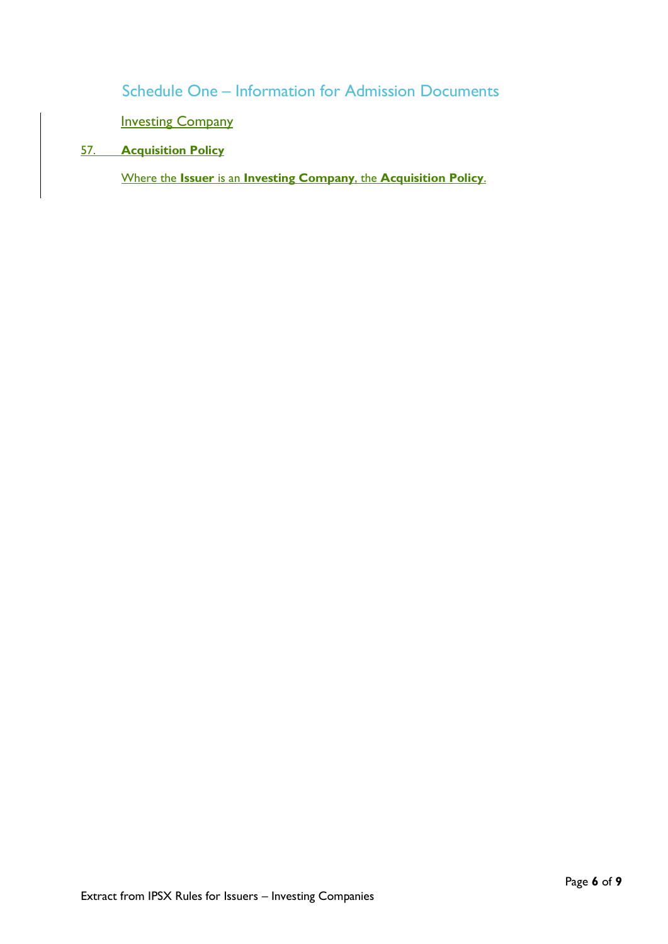Schedule One – Information for Admission Documents

**Investing Company** 

## 57. **Acquisition Policy**

Where the **Issuer** is an **Investing Company**, the **Acquisition Policy**.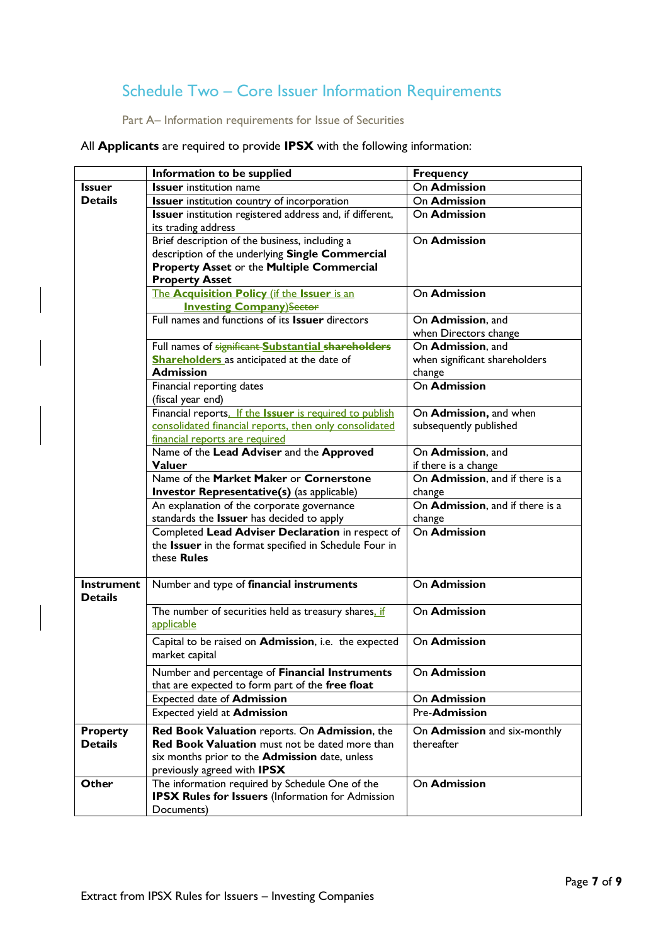# Schedule Two – Core Issuer Information Requirements

Part A– Information requirements for Issue of Securities

All **Applicants** are required to provide **IPSX** with the following information:

|                                     | Information to be supplied                                                                         | <b>Frequency</b>                           |
|-------------------------------------|----------------------------------------------------------------------------------------------------|--------------------------------------------|
| <b>Issuer</b>                       | <b>Issuer</b> institution name                                                                     | On Admission                               |
| <b>Details</b>                      | <b>Issuer</b> institution country of incorporation                                                 | On Admission                               |
|                                     | Issuer institution registered address and, if different,                                           | On Admission                               |
|                                     | its trading address                                                                                |                                            |
|                                     | Brief description of the business, including a                                                     | On Admission                               |
|                                     | description of the underlying Single Commercial                                                    |                                            |
|                                     | Property Asset or the Multiple Commercial                                                          |                                            |
|                                     | <b>Property Asset</b>                                                                              |                                            |
|                                     | The Acquisition Policy (if the Issuer is an                                                        | On Admission                               |
|                                     | <b>Investing Company)Sector</b>                                                                    |                                            |
|                                     | Full names and functions of its Issuer directors                                                   | On Admission, and<br>when Directors change |
|                                     | Full names of significant-Substantial shareholders                                                 | On Admission, and                          |
|                                     | <b>Shareholders</b> as anticipated at the date of                                                  | when significant shareholders              |
|                                     | <b>Admission</b>                                                                                   | change                                     |
|                                     | Financial reporting dates                                                                          | <b>On Admission</b>                        |
|                                     | (fiscal year end)                                                                                  |                                            |
|                                     | Financial reports. If the Issuer is required to publish                                            | On Admission, and when                     |
|                                     | consolidated financial reports, then only consolidated                                             | subsequently published                     |
|                                     | financial reports are required                                                                     |                                            |
|                                     | Name of the Lead Adviser and the Approved                                                          | On Admission, and                          |
|                                     | Valuer                                                                                             | if there is a change                       |
|                                     | Name of the Market Maker or Cornerstone                                                            | On Admission, and if there is a            |
|                                     | <b>Investor Representative(s)</b> (as applicable)                                                  | change                                     |
|                                     | An explanation of the corporate governance                                                         | On Admission, and if there is a            |
|                                     | standards the Issuer has decided to apply                                                          | change                                     |
|                                     | Completed Lead Adviser Declaration in respect of                                                   | On Admission                               |
|                                     | the Issuer in the format specified in Schedule Four in                                             |                                            |
|                                     | these Rules                                                                                        |                                            |
| <b>Instrument</b><br><b>Details</b> | Number and type of financial instruments                                                           | On Admission                               |
|                                     |                                                                                                    | On Admission                               |
|                                     | The number of securities held as treasury shares. if<br>applicable                                 |                                            |
|                                     | Capital to be raised on Admission, i.e. the expected<br>market capital                             | On Admission                               |
|                                     | Number and percentage of Financial Instruments<br>that are expected to form part of the free float | On Admission                               |
|                                     | Expected date of Admission                                                                         | On Admission                               |
|                                     | Expected yield at Admission                                                                        | Pre-Admission                              |
|                                     |                                                                                                    |                                            |
| <b>Property</b>                     | Red Book Valuation reports. On Admission, the                                                      | On Admission and six-monthly               |
| <b>Details</b>                      | Red Book Valuation must not be dated more than                                                     | thereafter                                 |
|                                     | six months prior to the Admission date, unless                                                     |                                            |
|                                     | previously agreed with IPSX                                                                        |                                            |
| Other                               | The information required by Schedule One of the                                                    | On Admission                               |
|                                     | <b>IPSX Rules for Issuers</b> (Information for Admission                                           |                                            |
|                                     | Documents)                                                                                         |                                            |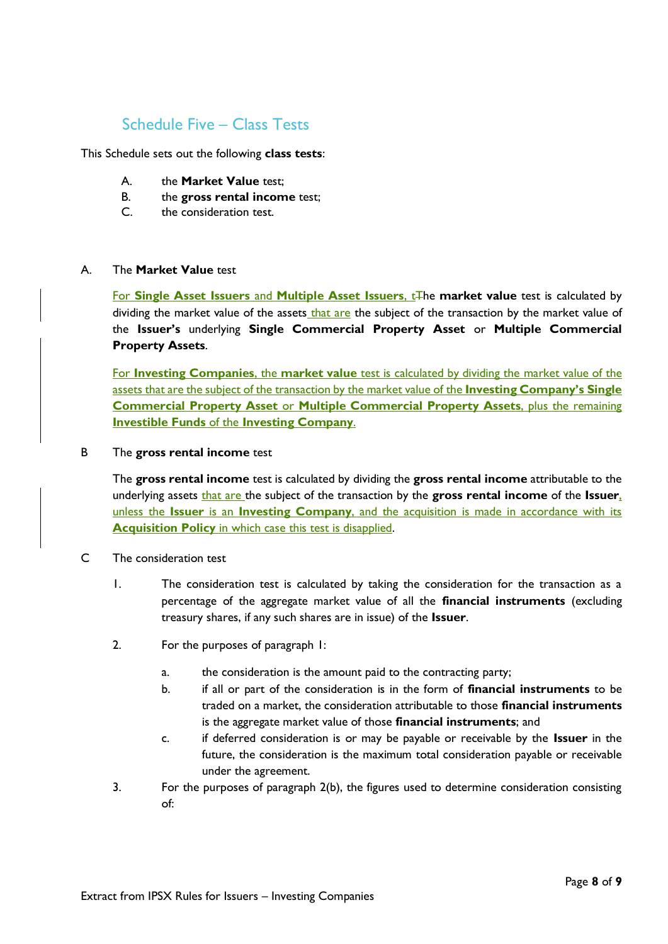# Schedule Five – Class Tests

This Schedule sets out the following **class tests**:

- A. the **Market Value** test;
- B. the **gross rental income** test;
- C. the consideration test.

### A. The **Market Value** test

For **Single Asset Issuers** and **Multiple Asset Issuers**, t<sub>t</sub> The **market value** test is calculated by dividing the market value of the assets that are the subject of the transaction by the market value of the **Issuer's** underlying **Single Commercial Property Asset** or **Multiple Commercial Property Assets**.

For **Investing Companies**, the **market value** test is calculated by dividing the market value of the assets that are the subject of the transaction by the market value of the **Investing Company's Single Commercial Property Asset** or **Multiple Commercial Property Assets**, plus the remaining **Investible Funds** of the **Investing Company**.

### B The **gross rental income** test

The **gross rental income** test is calculated by dividing the **gross rental income** attributable to the underlying assets that are the subject of the transaction by the **gross rental income** of the **Issuer**, unless the **Issuer** is an **Investing Company**, and the acquisition is made in accordance with its **Acquisition Policy** in which case this test is disapplied.

- C The consideration test
	- 1. The consideration test is calculated by taking the consideration for the transaction as a percentage of the aggregate market value of all the **financial instruments** (excluding treasury shares, if any such shares are in issue) of the **Issuer**.
	- 2. For the purposes of paragraph 1:
		- a. the consideration is the amount paid to the contracting party;
		- b. if all or part of the consideration is in the form of **financial instruments** to be traded on a market, the consideration attributable to those **financial instruments** is the aggregate market value of those **financial instruments**; and
		- c. if deferred consideration is or may be payable or receivable by the **Issuer** in the future, the consideration is the maximum total consideration payable or receivable under the agreement.
	- 3. For the purposes of paragraph 2(b), the figures used to determine consideration consisting of: